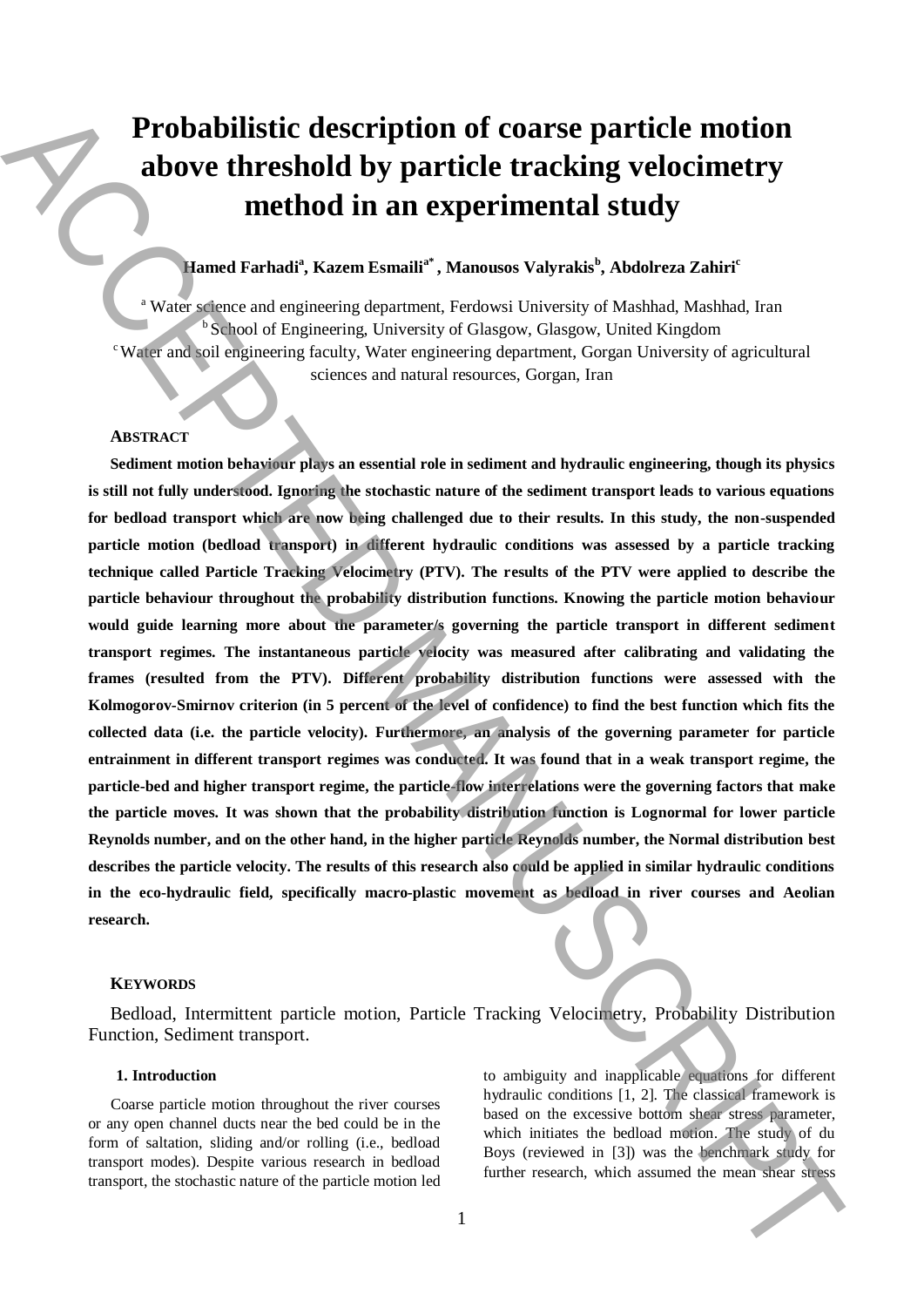# **Probabilistic description of coarse particle motion above threshold by particle tracking velocimetry method in an experimental study**

## **Hamed Farhadi<sup>a</sup> , Kazem Esmailia\* , Manousos Valyrakis<sup>b</sup> , Abdolreza Zahiri<sup>c</sup>**

<sup>a</sup> Water science and engineering department, Ferdowsi University of Mashhad, Mashhad, Iran School of Engineering, University of Glasgow, Glasgow, United Kingdom <sup>c</sup>Water and soil engineering faculty, Water engineering department, Gorgan University of agricultural sciences and natural resources, Gorgan, Iran

#### **ABSTRACT**

**Sediment motion behaviour plays an essential role in sediment and hydraulic engineering, though its physics is still not fully understood. Ignoring the stochastic nature of the sediment transport leads to various equations for bedload transport which are now being challenged due to their results. In this study, the non-suspended particle motion (bedload transport) in different hydraulic conditions was assessed by a particle tracking technique called Particle Tracking Velocimetry (PTV). The results of the PTV were applied to describe the particle behaviour throughout the probability distribution functions. Knowing the particle motion behaviour would guide learning more about the parameter/s governing the particle transport in different sediment transport regimes. The instantaneous particle velocity was measured after calibrating and validating the frames (resulted from the PTV). Different probability distribution functions were assessed with the Kolmogorov-Smirnov criterion (in 5 percent of the level of confidence) to find the best function which fits the collected data (i.e. the particle velocity). Furthermore, an analysis of the governing parameter for particle entrainment in different transport regimes was conducted. It was found that in a weak transport regime, the particle-bed and higher transport regime, the particle-flow interrelations were the governing factors that make the particle moves. It was shown that the probability distribution function is Lognormal for lower particle Reynolds number, and on the other hand, in the higher particle Reynolds number, the Normal distribution best describes the particle velocity. The results of this research also could be applied in similar hydraulic conditions in the eco-hydraulic field, specifically macro-plastic movement as bedload in river courses and Aeolian research. Probabilistic description of coarse particle motion above threshold by particle tracking velocitnetry method in an experimental study<br>
Manuscriptical States Access ACCEPTE (States Access ACCEPTE 1998)<br>
Manuscriptical Sta** 

#### **KEYWORDS**

Bedload, Intermittent particle motion, Particle Tracking Velocimetry, Probability Distribution Function, Sediment transport.

### **1. Introduction**

Coarse particle motion throughout the river courses or any open channel ducts near the bed could be in the form of saltation, sliding and/or rolling (i.e., bedload transport modes). Despite various research in bedload transport, the stochastic nature of the particle motion led to ambiguity and inapplicable equations for different hydraulic conditions [1, 2]. The classical framework is based on the excessive bottom shear stress parameter, which initiates the bedload motion. The study of du Boys (reviewed in [3]) was the benchmark study for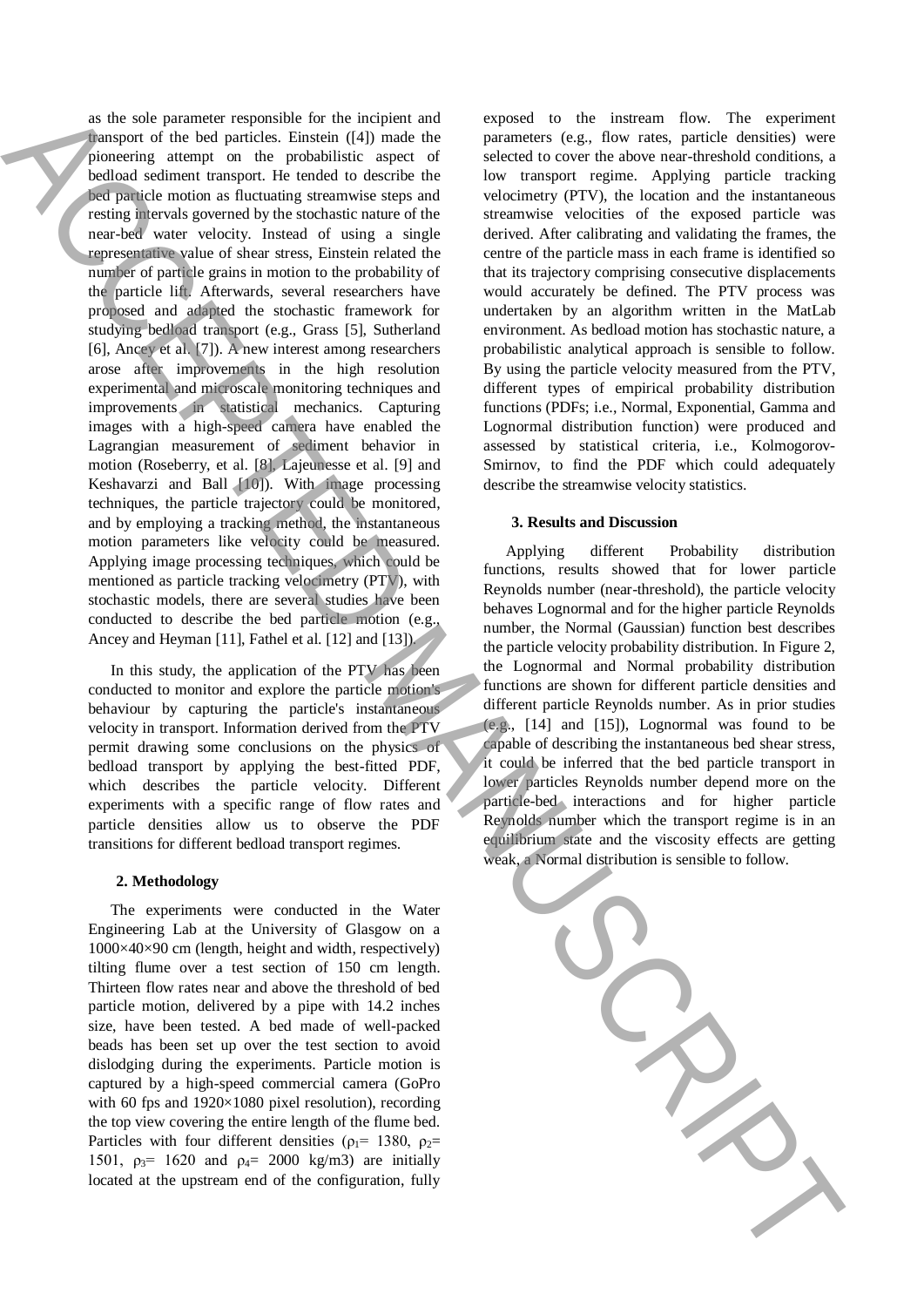as the sole parameter responsible for the incipient and transport of the bed particles. Einstein ([4]) made the pioneering attempt on the probabilistic aspect of bedload sediment transport. He tended to describe the bed particle motion as fluctuating streamwise steps and resting intervals governed by the stochastic nature of the near-bed water velocity. Instead of using a single representative value of shear stress, Einstein related the number of particle grains in motion to the probability of the particle lift. Afterwards, several researchers have proposed and adapted the stochastic framework for studying bedload transport (e.g., Grass [5], Sutherland [6], Ancey et al. [7]). A new interest among researchers arose after improvements in the high resolution experimental and microscale monitoring techniques and improvements in statistical mechanics. Capturing images with a high-speed camera have enabled the Lagrangian measurement of sediment behavior in motion (Roseberry, et al. [8], Lajeunesse et al. [9] and Keshavarzi and Ball [10]). With image processing techniques, the particle trajectory could be monitored, and by employing a tracking method, the instantaneous motion parameters like velocity could be measured. Applying image processing techniques, which could be mentioned as particle tracking velocimetry (PTV), with stochastic models, there are several studies have been conducted to describe the bed particle motion (e.g., Ancey and Heyman [11], Fathel et al. [12] and [13]). we have a sensible to the material of the continue of the continue of the continue of the continue of the continue of the continue of the continue of the continue of the continue of the continue of the continue of the con

In this study, the application of the PTV has been conducted to monitor and explore the particle motion's behaviour by capturing the particle's instantaneous velocity in transport. Information derived from the PTV permit drawing some conclusions on the physics of bedload transport by applying the best-fitted PDF, which describes the particle velocity. Different experiments with a specific range of flow rates and particle densities allow us to observe the PDF transitions for different bedload transport regimes.

## **2. Methodology**

The experiments were conducted in the Water Engineering Lab at the University of Glasgow on a 1000×40×90 cm (length, height and width, respectively) tilting flume over a test section of 150 cm length. Thirteen flow rates near and above the threshold of bed particle motion, delivered by a pipe with 14.2 inches size, have been tested. A bed made of well-packed beads has been set up over the test section to avoid dislodging during the experiments. Particle motion is captured by a high-speed commercial camera (GoPro with 60 fps and 1920×1080 pixel resolution), recording the top view covering the entire length of the flume bed. Particles with four different densities ( $\rho_1$ = 1380,  $\rho_2$ = 1501,  $\rho_3$ = 1620 and  $\rho_4$ = 2000 kg/m3) are initially located at the upstream end of the configuration, fully exposed to the instream flow. The experiment parameters (e.g., flow rates, particle densities) were selected to cover the above near-threshold conditions, a low transport regime. Applying particle tracking velocimetry (PTV), the location and the instantaneous streamwise velocities of the exposed particle was derived. After calibrating and validating the frames, the centre of the particle mass in each frame is identified so that its trajectory comprising consecutive displacements would accurately be defined. The PTV process was undertaken by an algorithm written in the MatLab environment. As bedload motion has stochastic nature, a probabilistic analytical approach is sensible to follow. By using the particle velocity measured from the PTV, different types of empirical probability distribution functions (PDFs; i.e., Normal, Exponential, Gamma and Lognormal distribution function) were produced and assessed by statistical criteria, i.e., Kolmogorov-Smirnov, to find the PDF which could adequately describe the streamwise velocity statistics.

#### **3. Results and Discussion**

Applying different Probability distribution functions, results showed that for lower particle Reynolds number (near-threshold), the particle velocity behaves Lognormal and for the higher particle Reynolds number, the Normal (Gaussian) function best describes the particle velocity probability distribution. In Figure 2, the Lognormal and Normal probability distribution functions are shown for different particle densities and different particle Reynolds number. As in prior studies (e.g., [14] and [15]), Lognormal was found to be capable of describing the instantaneous bed shear stress, it could be inferred that the bed particle transport in lower particles Reynolds number depend more on the particle-bed interactions and for higher particle Reynolds number which the transport regime is in an equilibrium state and the viscosity effects are getting